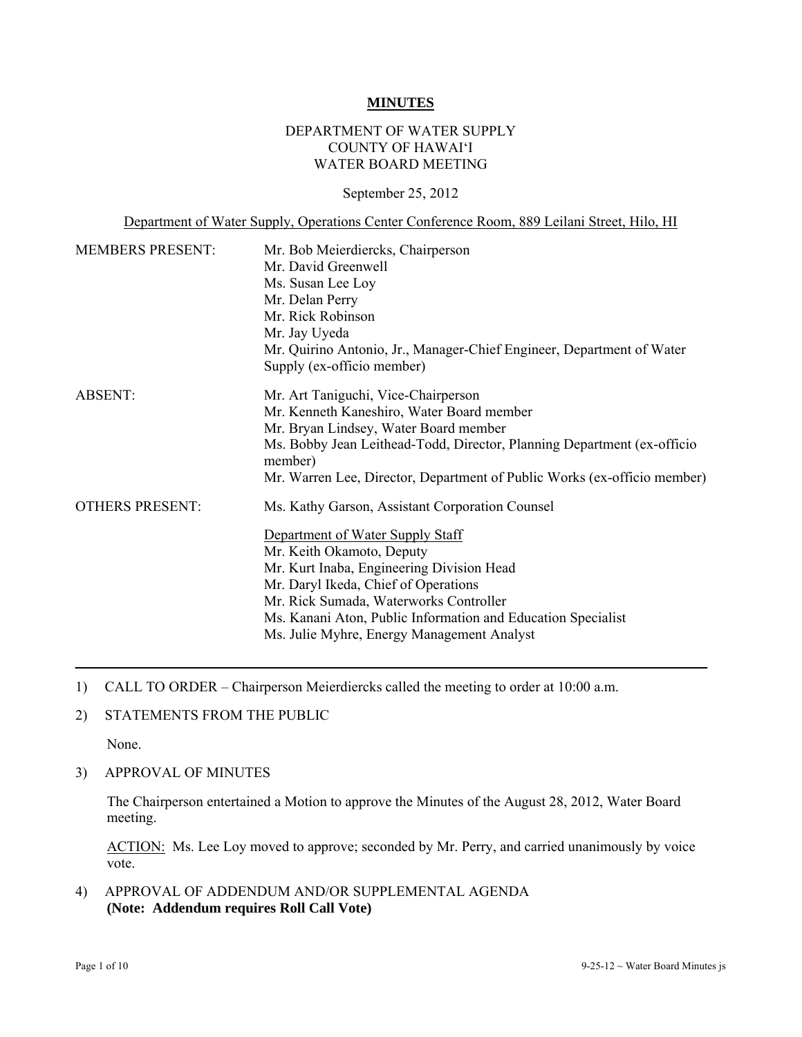#### **MINUTES**

### DEPARTMENT OF WATER SUPPLY COUNTY OF HAWAI'I WATER BOARD MEETING

September 25, 2012

Department of Water Supply, Operations Center Conference Room, 889 Leilani Street, Hilo, HI

| <b>MEMBERS PRESENT:</b> | Mr. Bob Meierdiercks, Chairperson                                                  |
|-------------------------|------------------------------------------------------------------------------------|
|                         | Mr. David Greenwell                                                                |
|                         | Ms. Susan Lee Loy                                                                  |
|                         | Mr. Delan Perry                                                                    |
|                         | Mr. Rick Robinson                                                                  |
|                         | Mr. Jay Uyeda                                                                      |
|                         | Mr. Quirino Antonio, Jr., Manager-Chief Engineer, Department of Water              |
|                         | Supply (ex-officio member)                                                         |
| ABSENT:                 | Mr. Art Taniguchi, Vice-Chairperson                                                |
|                         | Mr. Kenneth Kaneshiro, Water Board member                                          |
|                         | Mr. Bryan Lindsey, Water Board member                                              |
|                         | Ms. Bobby Jean Leithead-Todd, Director, Planning Department (ex-officio<br>member) |
|                         | Mr. Warren Lee, Director, Department of Public Works (ex-officio member)           |
| <b>OTHERS PRESENT:</b>  | Ms. Kathy Garson, Assistant Corporation Counsel                                    |
|                         | Department of Water Supply Staff                                                   |
|                         | Mr. Keith Okamoto, Deputy                                                          |
|                         | Mr. Kurt Inaba, Engineering Division Head                                          |
|                         | Mr. Daryl Ikeda, Chief of Operations                                               |
|                         | Mr. Rick Sumada, Waterworks Controller                                             |
|                         | Ms. Kanani Aton, Public Information and Education Specialist                       |
|                         | Ms. Julie Myhre, Energy Management Analyst                                         |

- 1) CALL TO ORDER Chairperson Meierdiercks called the meeting to order at 10:00 a.m.
- 2) STATEMENTS FROM THE PUBLIC

None.

3) APPROVAL OF MINUTES

The Chairperson entertained a Motion to approve the Minutes of the August 28, 2012, Water Board meeting.

ACTION: Ms. Lee Loy moved to approve; seconded by Mr. Perry, and carried unanimously by voice vote.

4) APPROVAL OF ADDENDUM AND/OR SUPPLEMENTAL AGENDA **(Note: Addendum requires Roll Call Vote)**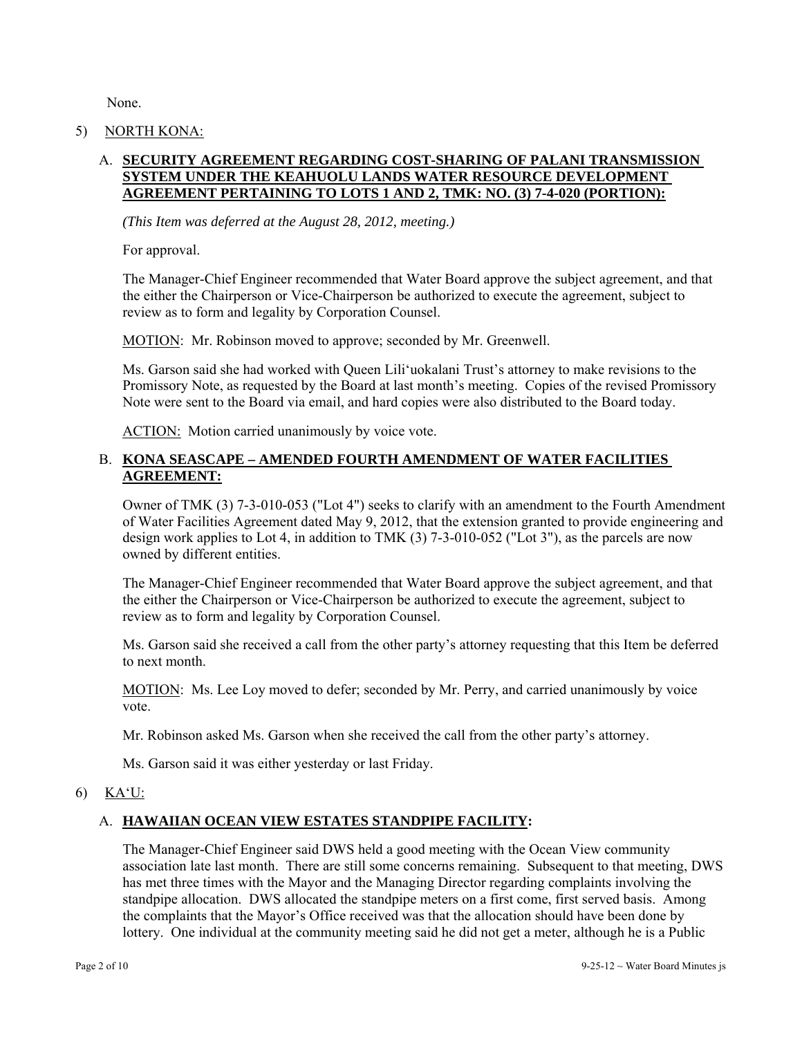None.

#### 5) NORTH KONA:

# A. **SECURITY AGREEMENT REGARDING COST-SHARING OF PALANI TRANSMISSION SYSTEM UNDER THE KEAHUOLU LANDS WATER RESOURCE DEVELOPMENT AGREEMENT PERTAINING TO LOTS 1 AND 2, TMK: NO. (3) 7-4-020 (PORTION):**

*(This Item was deferred at the August 28, 2012, meeting.)* 

For approval.

The Manager-Chief Engineer recommended that Water Board approve the subject agreement, and that the either the Chairperson or Vice-Chairperson be authorized to execute the agreement, subject to review as to form and legality by Corporation Counsel.

MOTION: Mr. Robinson moved to approve; seconded by Mr. Greenwell.

Ms. Garson said she had worked with Queen Lili'uokalani Trust's attorney to make revisions to the Promissory Note, as requested by the Board at last month's meeting. Copies of the revised Promissory Note were sent to the Board via email, and hard copies were also distributed to the Board today.

ACTION: Motion carried unanimously by voice vote.

## B. **KONA SEASCAPE – AMENDED FOURTH AMENDMENT OF WATER FACILITIES AGREEMENT:**

Owner of TMK (3) 7-3-010-053 ("Lot 4") seeks to clarify with an amendment to the Fourth Amendment of Water Facilities Agreement dated May 9, 2012, that the extension granted to provide engineering and design work applies to Lot 4, in addition to TMK (3) 7-3-010-052 ("Lot 3"), as the parcels are now owned by different entities.

The Manager-Chief Engineer recommended that Water Board approve the subject agreement, and that the either the Chairperson or Vice-Chairperson be authorized to execute the agreement, subject to review as to form and legality by Corporation Counsel.

Ms. Garson said she received a call from the other party's attorney requesting that this Item be deferred to next month.

MOTION: Ms. Lee Loy moved to defer; seconded by Mr. Perry, and carried unanimously by voice vote.

Mr. Robinson asked Ms. Garson when she received the call from the other party's attorney.

Ms. Garson said it was either yesterday or last Friday.

### 6) KA'U:

# A. **HAWAIIAN OCEAN VIEW ESTATES STANDPIPE FACILITY:**

The Manager-Chief Engineer said DWS held a good meeting with the Ocean View community association late last month. There are still some concerns remaining. Subsequent to that meeting, DWS has met three times with the Mayor and the Managing Director regarding complaints involving the standpipe allocation. DWS allocated the standpipe meters on a first come, first served basis. Among the complaints that the Mayor's Office received was that the allocation should have been done by lottery. One individual at the community meeting said he did not get a meter, although he is a Public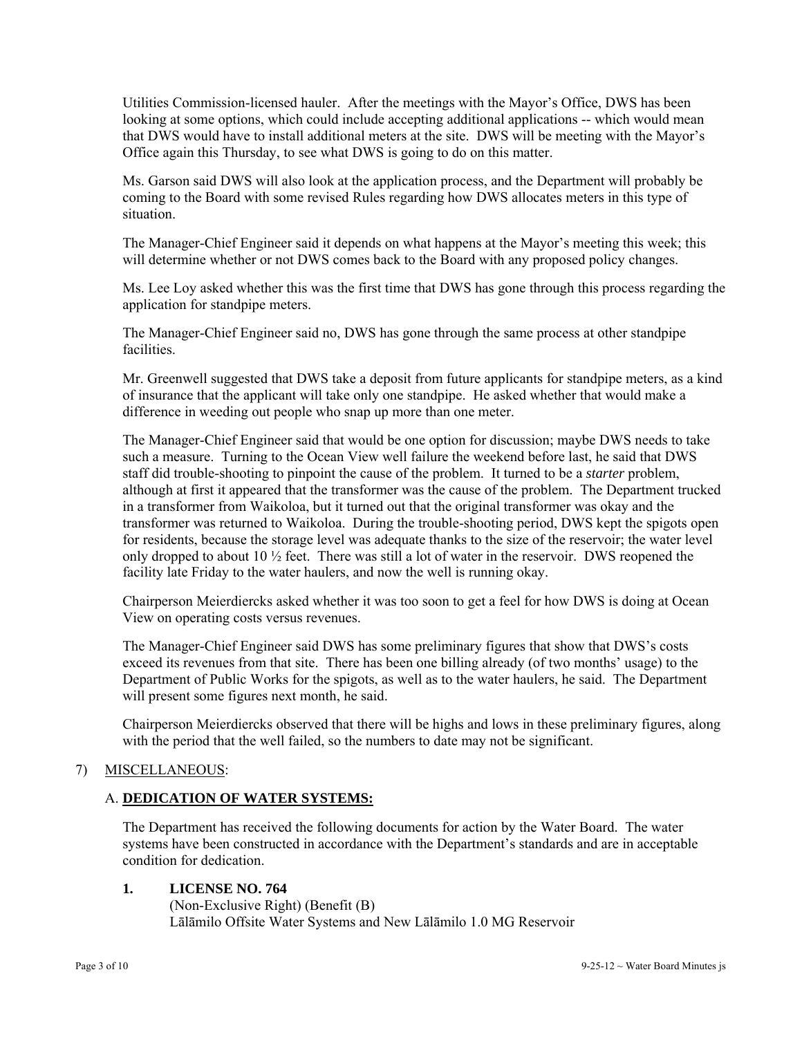Utilities Commission-licensed hauler. After the meetings with the Mayor's Office, DWS has been looking at some options, which could include accepting additional applications -- which would mean that DWS would have to install additional meters at the site. DWS will be meeting with the Mayor's Office again this Thursday, to see what DWS is going to do on this matter.

Ms. Garson said DWS will also look at the application process, and the Department will probably be coming to the Board with some revised Rules regarding how DWS allocates meters in this type of situation.

The Manager-Chief Engineer said it depends on what happens at the Mayor's meeting this week; this will determine whether or not DWS comes back to the Board with any proposed policy changes.

Ms. Lee Loy asked whether this was the first time that DWS has gone through this process regarding the application for standpipe meters.

The Manager-Chief Engineer said no, DWS has gone through the same process at other standpipe facilities.

Mr. Greenwell suggested that DWS take a deposit from future applicants for standpipe meters, as a kind of insurance that the applicant will take only one standpipe. He asked whether that would make a difference in weeding out people who snap up more than one meter.

The Manager-Chief Engineer said that would be one option for discussion; maybe DWS needs to take such a measure. Turning to the Ocean View well failure the weekend before last, he said that DWS staff did trouble-shooting to pinpoint the cause of the problem. It turned to be a *starter* problem, although at first it appeared that the transformer was the cause of the problem. The Department trucked in a transformer from Waikoloa, but it turned out that the original transformer was okay and the transformer was returned to Waikoloa. During the trouble-shooting period, DWS kept the spigots open for residents, because the storage level was adequate thanks to the size of the reservoir; the water level only dropped to about 10  $\frac{1}{2}$  feet. There was still a lot of water in the reservoir. DWS reopened the facility late Friday to the water haulers, and now the well is running okay.

Chairperson Meierdiercks asked whether it was too soon to get a feel for how DWS is doing at Ocean View on operating costs versus revenues.

The Manager-Chief Engineer said DWS has some preliminary figures that show that DWS's costs exceed its revenues from that site. There has been one billing already (of two months' usage) to the Department of Public Works for the spigots, as well as to the water haulers, he said. The Department will present some figures next month, he said.

Chairperson Meierdiercks observed that there will be highs and lows in these preliminary figures, along with the period that the well failed, so the numbers to date may not be significant.

### 7) MISCELLANEOUS:

### A. **DEDICATION OF WATER SYSTEMS:**

The Department has received the following documents for action by the Water Board. The water systems have been constructed in accordance with the Department's standards and are in acceptable condition for dedication.

### **1. LICENSE NO. 764**

 (Non-Exclusive Right) (Benefit (B) Lālāmilo Offsite Water Systems and New Lālāmilo 1.0 MG Reservoir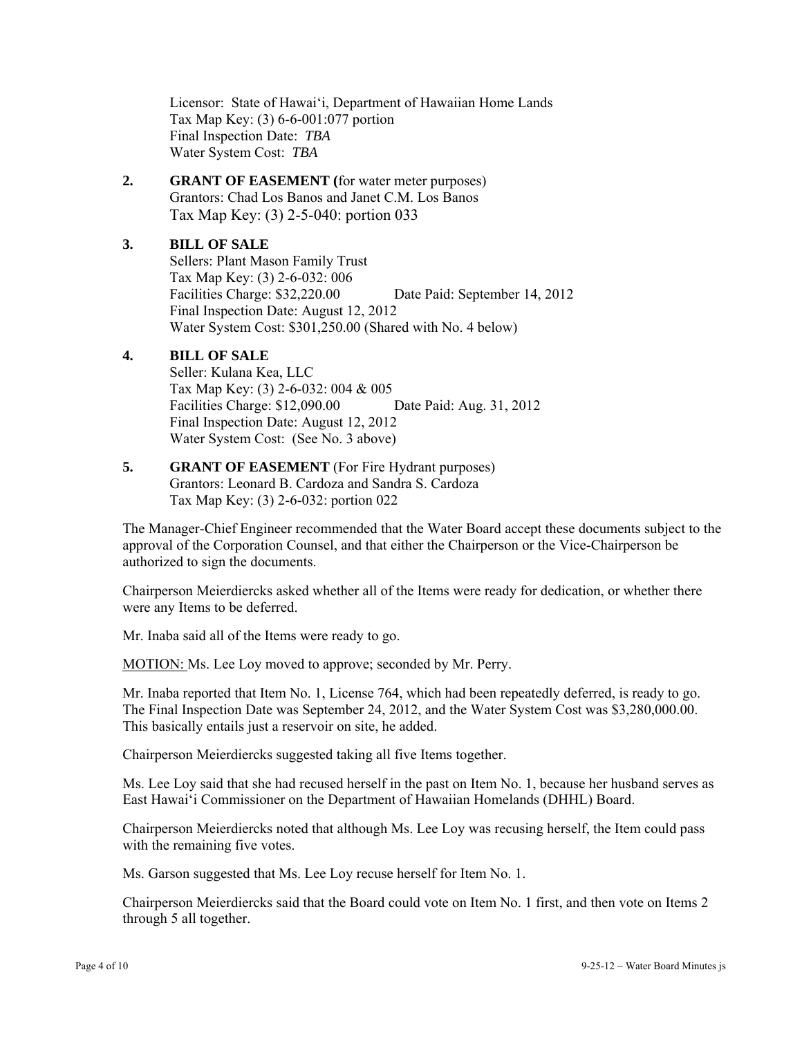Licensor: State of Hawai'i, Department of Hawaiian Home Lands Tax Map Key: (3) 6-6-001:077 portion Final Inspection Date: *TBA* Water System Cost: *TBA*

**2. GRANT OF EASEMENT (**for water meter purposes) Grantors: Chad Los Banos and Janet C.M. Los Banos Tax Map Key: (3) 2-5-040: portion 033

# **3. BILL OF SALE**

 Sellers: Plant Mason Family Trust Tax Map Key: (3) 2-6-032: 006 Facilities Charge: \$32,220.00 Date Paid: September 14, 2012 Final Inspection Date: August 12, 2012 Water System Cost: \$301,250.00 (Shared with No. 4 below)

# **4. BILL OF SALE**

 Seller: Kulana Kea, LLC Tax Map Key: (3) 2-6-032: 004 & 005 Facilities Charge: \$12,090.00 Date Paid: Aug. 31, 2012 Final Inspection Date: August 12, 2012 Water System Cost: (See No. 3 above)

#### **5.** GRANT OF EASEMENT (For Fire Hydrant purposes) Grantors: Leonard B. Cardoza and Sandra S. Cardoza Tax Map Key: (3) 2-6-032: portion 022

The Manager-Chief Engineer recommended that the Water Board accept these documents subject to the approval of the Corporation Counsel, and that either the Chairperson or the Vice-Chairperson be authorized to sign the documents.

Chairperson Meierdiercks asked whether all of the Items were ready for dedication, or whether there were any Items to be deferred.

Mr. Inaba said all of the Items were ready to go.

MOTION: Ms. Lee Loy moved to approve; seconded by Mr. Perry.

Mr. Inaba reported that Item No. 1, License 764, which had been repeatedly deferred, is ready to go. The Final Inspection Date was September 24, 2012, and the Water System Cost was \$3,280,000.00. This basically entails just a reservoir on site, he added.

Chairperson Meierdiercks suggested taking all five Items together.

Ms. Lee Loy said that she had recused herself in the past on Item No. 1, because her husband serves as East Hawai'i Commissioner on the Department of Hawaiian Homelands (DHHL) Board.

Chairperson Meierdiercks noted that although Ms. Lee Loy was recusing herself, the Item could pass with the remaining five votes.

Ms. Garson suggested that Ms. Lee Loy recuse herself for Item No. 1.

Chairperson Meierdiercks said that the Board could vote on Item No. 1 first, and then vote on Items 2 through 5 all together.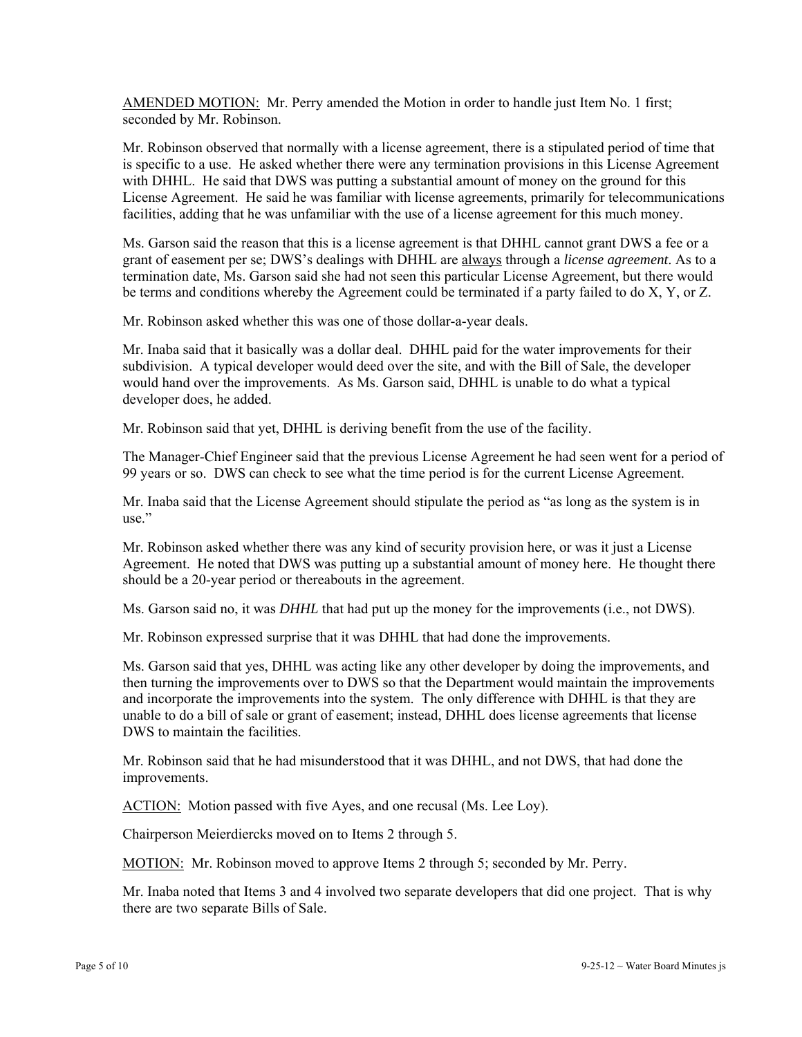AMENDED MOTION: Mr. Perry amended the Motion in order to handle just Item No. 1 first; seconded by Mr. Robinson.

Mr. Robinson observed that normally with a license agreement, there is a stipulated period of time that is specific to a use. He asked whether there were any termination provisions in this License Agreement with DHHL. He said that DWS was putting a substantial amount of money on the ground for this License Agreement. He said he was familiar with license agreements, primarily for telecommunications facilities, adding that he was unfamiliar with the use of a license agreement for this much money.

Ms. Garson said the reason that this is a license agreement is that DHHL cannot grant DWS a fee or a grant of easement per se; DWS's dealings with DHHL are always through a *license agreement*. As to a termination date, Ms. Garson said she had not seen this particular License Agreement, but there would be terms and conditions whereby the Agreement could be terminated if a party failed to do X, Y, or Z.

Mr. Robinson asked whether this was one of those dollar-a-year deals.

Mr. Inaba said that it basically was a dollar deal. DHHL paid for the water improvements for their subdivision. A typical developer would deed over the site, and with the Bill of Sale, the developer would hand over the improvements. As Ms. Garson said, DHHL is unable to do what a typical developer does, he added.

Mr. Robinson said that yet, DHHL is deriving benefit from the use of the facility.

The Manager-Chief Engineer said that the previous License Agreement he had seen went for a period of 99 years or so. DWS can check to see what the time period is for the current License Agreement.

Mr. Inaba said that the License Agreement should stipulate the period as "as long as the system is in use."

Mr. Robinson asked whether there was any kind of security provision here, or was it just a License Agreement. He noted that DWS was putting up a substantial amount of money here. He thought there should be a 20-year period or thereabouts in the agreement.

Ms. Garson said no, it was *DHHL* that had put up the money for the improvements (i.e., not DWS).

Mr. Robinson expressed surprise that it was DHHL that had done the improvements.

Ms. Garson said that yes, DHHL was acting like any other developer by doing the improvements, and then turning the improvements over to DWS so that the Department would maintain the improvements and incorporate the improvements into the system. The only difference with DHHL is that they are unable to do a bill of sale or grant of easement; instead, DHHL does license agreements that license DWS to maintain the facilities.

Mr. Robinson said that he had misunderstood that it was DHHL, and not DWS, that had done the improvements.

ACTION: Motion passed with five Ayes, and one recusal (Ms. Lee Loy).

Chairperson Meierdiercks moved on to Items 2 through 5.

MOTION: Mr. Robinson moved to approve Items 2 through 5; seconded by Mr. Perry.

Mr. Inaba noted that Items 3 and 4 involved two separate developers that did one project. That is why there are two separate Bills of Sale.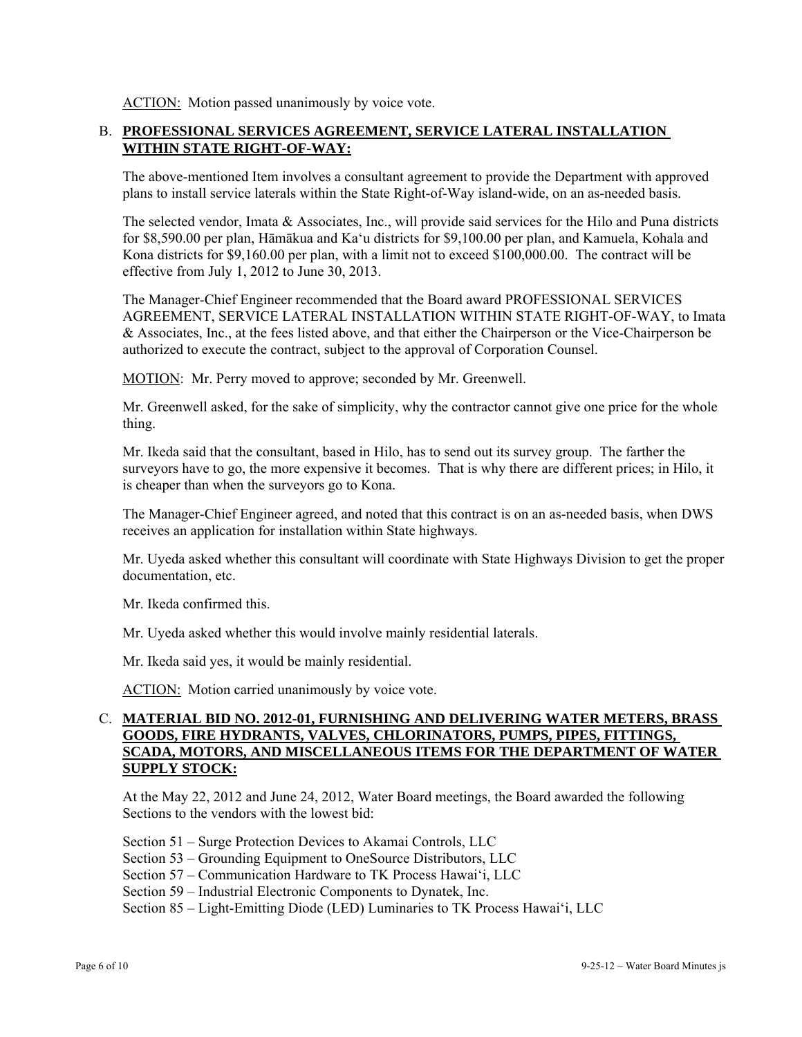ACTION: Motion passed unanimously by voice vote.

## B. **PROFESSIONAL SERVICES AGREEMENT, SERVICE LATERAL INSTALLATION WITHIN STATE RIGHT-OF-WAY:**

The above-mentioned Item involves a consultant agreement to provide the Department with approved plans to install service laterals within the State Right-of-Way island-wide, on an as-needed basis.

The selected vendor, Imata & Associates, Inc., will provide said services for the Hilo and Puna districts for \$8,590.00 per plan, Hāmākua and Ka'u districts for \$9,100.00 per plan, and Kamuela, Kohala and Kona districts for \$9,160.00 per plan, with a limit not to exceed \$100,000.00. The contract will be effective from July 1, 2012 to June 30, 2013.

The Manager-Chief Engineer recommended that the Board award PROFESSIONAL SERVICES AGREEMENT, SERVICE LATERAL INSTALLATION WITHIN STATE RIGHT-OF-WAY, to Imata & Associates, Inc., at the fees listed above, and that either the Chairperson or the Vice-Chairperson be authorized to execute the contract, subject to the approval of Corporation Counsel.

MOTION: Mr. Perry moved to approve; seconded by Mr. Greenwell.

Mr. Greenwell asked, for the sake of simplicity, why the contractor cannot give one price for the whole thing.

Mr. Ikeda said that the consultant, based in Hilo, has to send out its survey group. The farther the surveyors have to go, the more expensive it becomes. That is why there are different prices; in Hilo, it is cheaper than when the surveyors go to Kona.

The Manager-Chief Engineer agreed, and noted that this contract is on an as-needed basis, when DWS receives an application for installation within State highways.

Mr. Uyeda asked whether this consultant will coordinate with State Highways Division to get the proper documentation, etc.

Mr. Ikeda confirmed this.

Mr. Uyeda asked whether this would involve mainly residential laterals.

Mr. Ikeda said yes, it would be mainly residential.

ACTION: Motion carried unanimously by voice vote.

## C. **MATERIAL BID NO. 2012-01, FURNISHING AND DELIVERING WATER METERS, BRASS GOODS, FIRE HYDRANTS, VALVES, CHLORINATORS, PUMPS, PIPES, FITTINGS, SCADA, MOTORS, AND MISCELLANEOUS ITEMS FOR THE DEPARTMENT OF WATER SUPPLY STOCK:**

At the May 22, 2012 and June 24, 2012, Water Board meetings, the Board awarded the following Sections to the vendors with the lowest bid:

Section 51 – Surge Protection Devices to Akamai Controls, LLC

Section 53 – Grounding Equipment to OneSource Distributors, LLC

- Section 57 Communication Hardware to TK Process Hawai'i, LLC
- Section 59 Industrial Electronic Components to Dynatek, Inc.

Section 85 – Light-Emitting Diode (LED) Luminaries to TK Process Hawai'i, LLC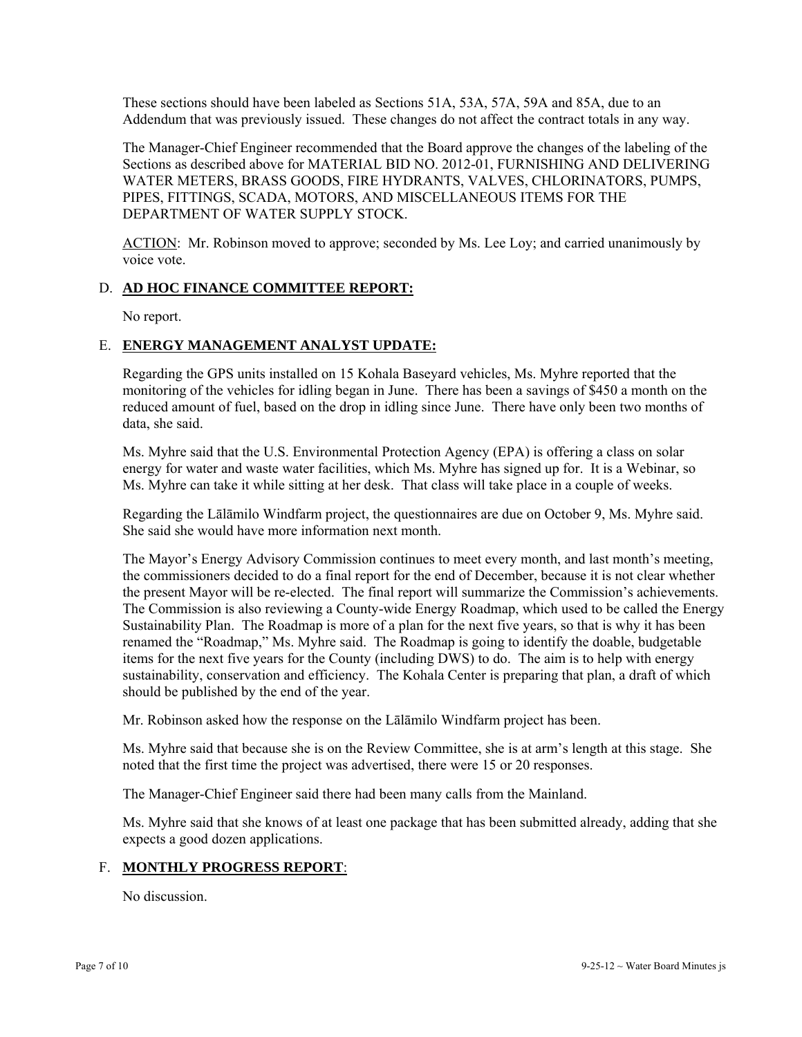These sections should have been labeled as Sections 51A, 53A, 57A, 59A and 85A, due to an Addendum that was previously issued. These changes do not affect the contract totals in any way.

The Manager-Chief Engineer recommended that the Board approve the changes of the labeling of the Sections as described above for MATERIAL BID NO. 2012-01, FURNISHING AND DELIVERING WATER METERS, BRASS GOODS, FIRE HYDRANTS, VALVES, CHLORINATORS, PUMPS, PIPES, FITTINGS, SCADA, MOTORS, AND MISCELLANEOUS ITEMS FOR THE DEPARTMENT OF WATER SUPPLY STOCK.

ACTION: Mr. Robinson moved to approve; seconded by Ms. Lee Loy; and carried unanimously by voice vote.

### D. **AD HOC FINANCE COMMITTEE REPORT:**

No report.

### E. **ENERGY MANAGEMENT ANALYST UPDATE:**

Regarding the GPS units installed on 15 Kohala Baseyard vehicles, Ms. Myhre reported that the monitoring of the vehicles for idling began in June. There has been a savings of \$450 a month on the reduced amount of fuel, based on the drop in idling since June. There have only been two months of data, she said.

Ms. Myhre said that the U.S. Environmental Protection Agency (EPA) is offering a class on solar energy for water and waste water facilities, which Ms. Myhre has signed up for. It is a Webinar, so Ms. Myhre can take it while sitting at her desk. That class will take place in a couple of weeks.

Regarding the Lālāmilo Windfarm project, the questionnaires are due on October 9, Ms. Myhre said. She said she would have more information next month.

The Mayor's Energy Advisory Commission continues to meet every month, and last month's meeting, the commissioners decided to do a final report for the end of December, because it is not clear whether the present Mayor will be re-elected. The final report will summarize the Commission's achievements. The Commission is also reviewing a County-wide Energy Roadmap, which used to be called the Energy Sustainability Plan. The Roadmap is more of a plan for the next five years, so that is why it has been renamed the "Roadmap," Ms. Myhre said. The Roadmap is going to identify the doable, budgetable items for the next five years for the County (including DWS) to do. The aim is to help with energy sustainability, conservation and efficiency. The Kohala Center is preparing that plan, a draft of which should be published by the end of the year.

Mr. Robinson asked how the response on the Lālāmilo Windfarm project has been.

Ms. Myhre said that because she is on the Review Committee, she is at arm's length at this stage. She noted that the first time the project was advertised, there were 15 or 20 responses.

The Manager-Chief Engineer said there had been many calls from the Mainland.

Ms. Myhre said that she knows of at least one package that has been submitted already, adding that she expects a good dozen applications.

### F. **MONTHLY PROGRESS REPORT**:

No discussion.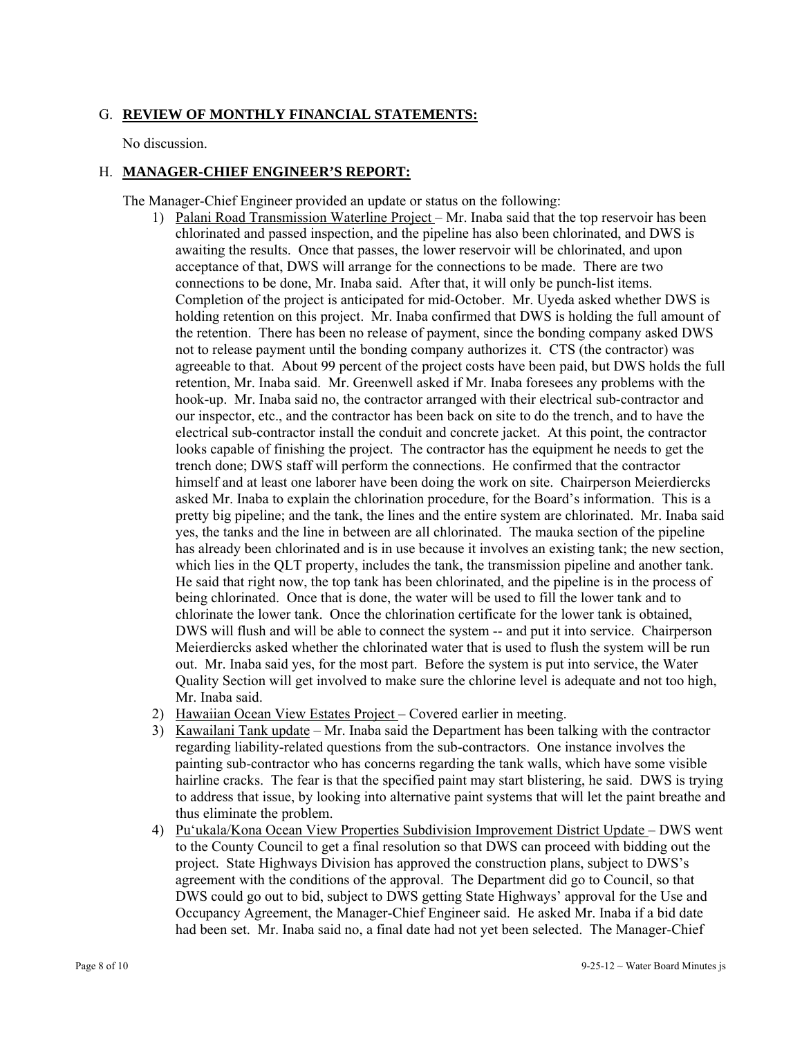# G. **REVIEW OF MONTHLY FINANCIAL STATEMENTS:**

No discussion.

# H. **MANAGER-CHIEF ENGINEER'S REPORT:**

The Manager-Chief Engineer provided an update or status on the following:

- 1) Palani Road Transmission Waterline Project Mr. Inaba said that the top reservoir has been chlorinated and passed inspection, and the pipeline has also been chlorinated, and DWS is awaiting the results. Once that passes, the lower reservoir will be chlorinated, and upon acceptance of that, DWS will arrange for the connections to be made. There are two connections to be done, Mr. Inaba said. After that, it will only be punch-list items. Completion of the project is anticipated for mid-October. Mr. Uyeda asked whether DWS is holding retention on this project. Mr. Inaba confirmed that DWS is holding the full amount of the retention. There has been no release of payment, since the bonding company asked DWS not to release payment until the bonding company authorizes it. CTS (the contractor) was agreeable to that. About 99 percent of the project costs have been paid, but DWS holds the full retention, Mr. Inaba said. Mr. Greenwell asked if Mr. Inaba foresees any problems with the hook-up. Mr. Inaba said no, the contractor arranged with their electrical sub-contractor and our inspector, etc., and the contractor has been back on site to do the trench, and to have the electrical sub-contractor install the conduit and concrete jacket. At this point, the contractor looks capable of finishing the project. The contractor has the equipment he needs to get the trench done; DWS staff will perform the connections. He confirmed that the contractor himself and at least one laborer have been doing the work on site. Chairperson Meierdiercks asked Mr. Inaba to explain the chlorination procedure, for the Board's information. This is a pretty big pipeline; and the tank, the lines and the entire system are chlorinated. Mr. Inaba said yes, the tanks and the line in between are all chlorinated. The mauka section of the pipeline has already been chlorinated and is in use because it involves an existing tank; the new section, which lies in the QLT property, includes the tank, the transmission pipeline and another tank. He said that right now, the top tank has been chlorinated, and the pipeline is in the process of being chlorinated. Once that is done, the water will be used to fill the lower tank and to chlorinate the lower tank. Once the chlorination certificate for the lower tank is obtained, DWS will flush and will be able to connect the system -- and put it into service. Chairperson Meierdiercks asked whether the chlorinated water that is used to flush the system will be run out. Mr. Inaba said yes, for the most part. Before the system is put into service, the Water Quality Section will get involved to make sure the chlorine level is adequate and not too high, Mr. Inaba said.
- 2) Hawaiian Ocean View Estates Project Covered earlier in meeting.
- 3) Kawailani Tank update Mr. Inaba said the Department has been talking with the contractor regarding liability-related questions from the sub-contractors. One instance involves the painting sub-contractor who has concerns regarding the tank walls, which have some visible hairline cracks. The fear is that the specified paint may start blistering, he said. DWS is trying to address that issue, by looking into alternative paint systems that will let the paint breathe and thus eliminate the problem.
- 4) Pu'ukala/Kona Ocean View Properties Subdivision Improvement District Update DWS went to the County Council to get a final resolution so that DWS can proceed with bidding out the project. State Highways Division has approved the construction plans, subject to DWS's agreement with the conditions of the approval. The Department did go to Council, so that DWS could go out to bid, subject to DWS getting State Highways' approval for the Use and Occupancy Agreement, the Manager-Chief Engineer said. He asked Mr. Inaba if a bid date had been set. Mr. Inaba said no, a final date had not yet been selected. The Manager-Chief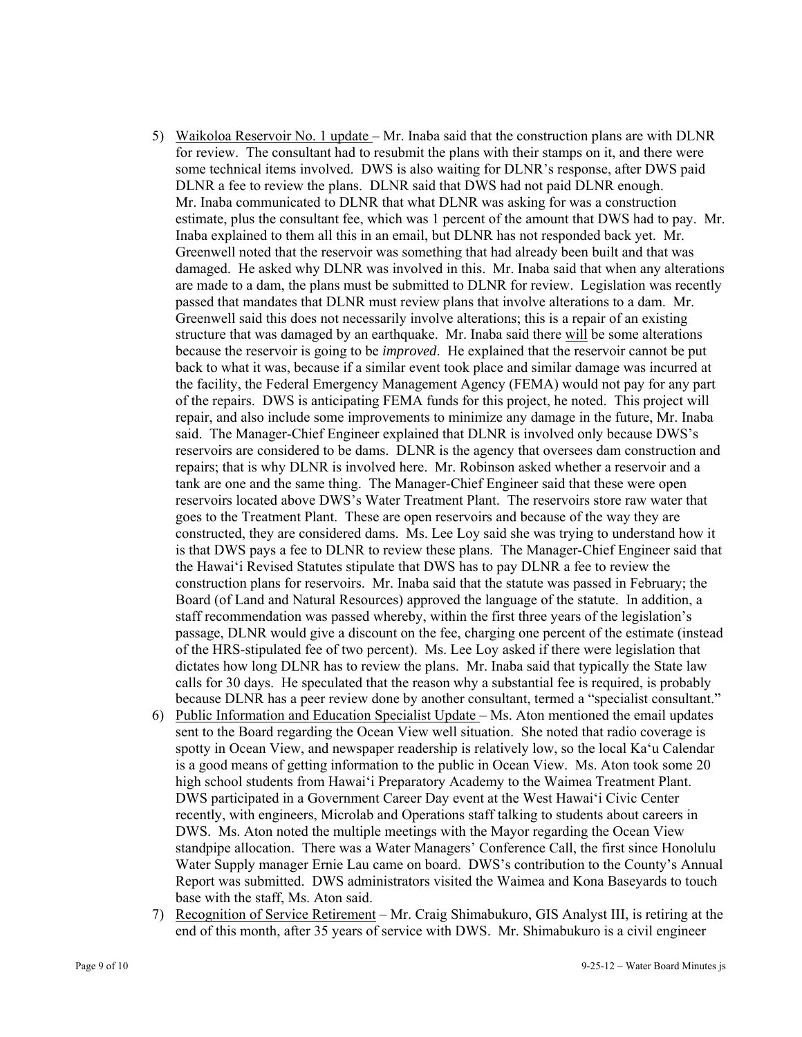- 5) Waikoloa Reservoir No. 1 update Mr. Inaba said that the construction plans are with DLNR for review. The consultant had to resubmit the plans with their stamps on it, and there were some technical items involved. DWS is also waiting for DLNR's response, after DWS paid DLNR a fee to review the plans. DLNR said that DWS had not paid DLNR enough. Mr. Inaba communicated to DLNR that what DLNR was asking for was a construction estimate, plus the consultant fee, which was 1 percent of the amount that DWS had to pay. Mr. Inaba explained to them all this in an email, but DLNR has not responded back yet. Mr. Greenwell noted that the reservoir was something that had already been built and that was damaged. He asked why DLNR was involved in this. Mr. Inaba said that when any alterations are made to a dam, the plans must be submitted to DLNR for review. Legislation was recently passed that mandates that DLNR must review plans that involve alterations to a dam. Mr. Greenwell said this does not necessarily involve alterations; this is a repair of an existing structure that was damaged by an earthquake. Mr. Inaba said there will be some alterations because the reservoir is going to be *improved*. He explained that the reservoir cannot be put back to what it was, because if a similar event took place and similar damage was incurred at the facility, the Federal Emergency Management Agency (FEMA) would not pay for any part of the repairs. DWS is anticipating FEMA funds for this project, he noted. This project will repair, and also include some improvements to minimize any damage in the future, Mr. Inaba said. The Manager-Chief Engineer explained that DLNR is involved only because DWS's reservoirs are considered to be dams. DLNR is the agency that oversees dam construction and repairs; that is why DLNR is involved here. Mr. Robinson asked whether a reservoir and a tank are one and the same thing. The Manager-Chief Engineer said that these were open reservoirs located above DWS's Water Treatment Plant. The reservoirs store raw water that goes to the Treatment Plant. These are open reservoirs and because of the way they are constructed, they are considered dams. Ms. Lee Loy said she was trying to understand how it is that DWS pays a fee to DLNR to review these plans. The Manager-Chief Engineer said that the Hawai'i Revised Statutes stipulate that DWS has to pay DLNR a fee to review the construction plans for reservoirs. Mr. Inaba said that the statute was passed in February; the Board (of Land and Natural Resources) approved the language of the statute. In addition, a staff recommendation was passed whereby, within the first three years of the legislation's passage, DLNR would give a discount on the fee, charging one percent of the estimate (instead of the HRS-stipulated fee of two percent). Ms. Lee Loy asked if there were legislation that dictates how long DLNR has to review the plans. Mr. Inaba said that typically the State law calls for 30 days. He speculated that the reason why a substantial fee is required, is probably because DLNR has a peer review done by another consultant, termed a "specialist consultant."
- 6) Public Information and Education Specialist Update Ms. Aton mentioned the email updates sent to the Board regarding the Ocean View well situation. She noted that radio coverage is spotty in Ocean View, and newspaper readership is relatively low, so the local Ka'u Calendar is a good means of getting information to the public in Ocean View. Ms. Aton took some 20 high school students from Hawai'i Preparatory Academy to the Waimea Treatment Plant. DWS participated in a Government Career Day event at the West Hawai'i Civic Center recently, with engineers, Microlab and Operations staff talking to students about careers in DWS. Ms. Aton noted the multiple meetings with the Mayor regarding the Ocean View standpipe allocation. There was a Water Managers' Conference Call, the first since Honolulu Water Supply manager Ernie Lau came on board. DWS's contribution to the County's Annual Report was submitted. DWS administrators visited the Waimea and Kona Baseyards to touch base with the staff, Ms. Aton said.
- 7) Recognition of Service Retirement Mr. Craig Shimabukuro, GIS Analyst III, is retiring at the end of this month, after 35 years of service with DWS. Mr. Shimabukuro is a civil engineer